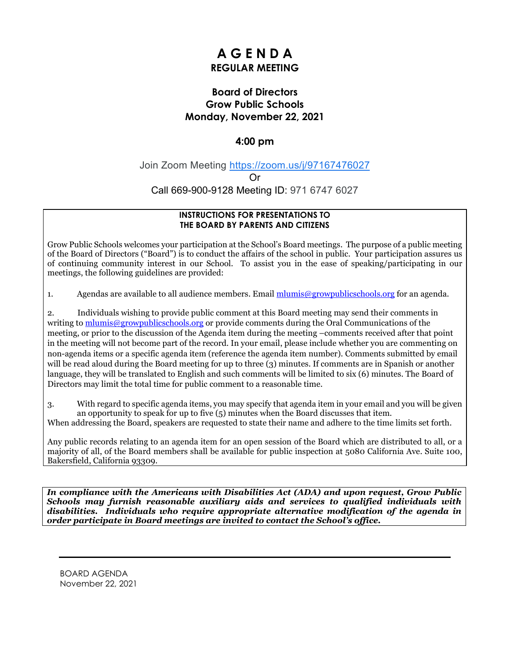# **A G E N D A REGULAR MEETING**

# **Board of Directors Grow Public Schools Monday, November 22, 2021**

## **4:00 pm**

Join Zoom Meeting [https://zoom.us/j/97167476027](https://www.google.com/url?q=https://zoom.us/j/97167476027&sa=D&source=calendar&ust=1637477118240330&usg=AOvVaw3fmGeDZeYgNw2i24S6kSBC)

Or

Call 669-900-9128 Meeting ID: 971 6747 6027

### **INSTRUCTIONS FOR PRESENTATIONS TO THE BOARD BY PARENTS AND CITIZENS**

Grow Public Schools welcomes your participation at the School's Board meetings. The purpose of a public meeting of the Board of Directors ("Board") is to conduct the affairs of the school in public. Your participation assures us of continuing community interest in our School. To assist you in the ease of speaking/participating in our meetings, the following guidelines are provided:

1. Agendas are available to all audience members. Email [mlumis@growpublicschools.org](mailto:mlumis@growpublicschools.org) for an agenda.

2. Individuals wishing to provide public comment at this Board meeting may send their comments in writing to [mlumis@growpublicschools.org](mailto:mlumis@growpublicschools.org) or provide comments during the Oral Communications of the meeting, or prior to the discussion of the Agenda item during the meeting –comments received after that point in the meeting will not become part of the record. In your email, please include whether you are commenting on non-agenda items or a specific agenda item (reference the agenda item number). Comments submitted by email will be read aloud during the Board meeting for up to three (3) minutes. If comments are in Spanish or another language, they will be translated to English and such comments will be limited to six (6) minutes. The Board of Directors may limit the total time for public comment to a reasonable time.

3. With regard to specific agenda items, you may specify that agenda item in your email and you will be given an opportunity to speak for up to five  $(5)$  minutes when the Board discusses that item.

When addressing the Board, speakers are requested to state their name and adhere to the time limits set forth.

Any public records relating to an agenda item for an open session of the Board which are distributed to all, or a majority of all, of the Board members shall be available for public inspection at 5080 California Ave. Suite 100, Bakersfield, California 93309.

*In compliance with the Americans with Disabilities Act (ADA) and upon request, Grow Public Schools may furnish reasonable auxiliary aids and services to qualified individuals with disabilities. Individuals who require appropriate alternative modification of the agenda in order participate in Board meetings are invited to contact the School's office.*

BOARD AGENDA November 22, 2021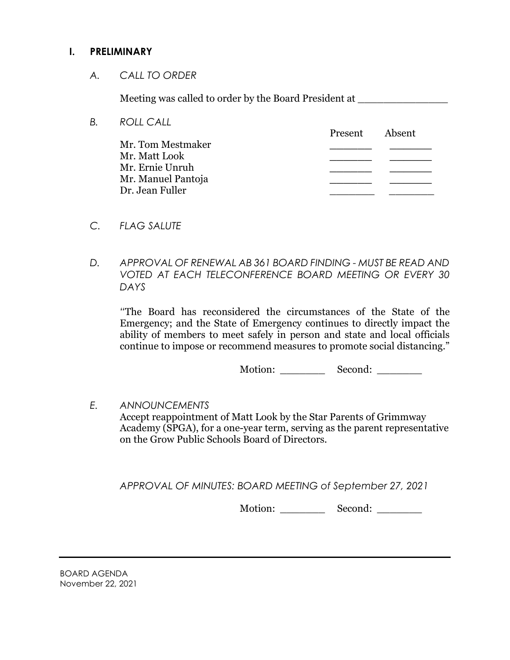# **I. PRELIMINARY**

*A. CALL TO ORDER*

Meeting was called to order by the Board President at

- *B. ROLL CALL* Present Absent Mr. Tom Mestmaker **\_\_\_\_\_\_ \_\_\_\_\_\_** Mr. Matt Look **\_\_\_\_\_\_ \_\_\_\_\_\_** Mr. Ernie Unruh **\_\_\_\_\_\_ \_\_\_\_\_\_** Mr. Manuel Pantoja **\_\_\_\_\_\_ \_\_\_\_\_\_** Dr. Jean Fuller \_\_\_\_\_\_\_ \_\_\_\_\_\_\_
- *C. FLAG SALUTE*
- *D. APPROVAL OF RENEWAL AB 361 BOARD FINDING - MUST BE READ AND VOTED AT EACH TELECONFERENCE BOARD MEETING OR EVERY 30 DAYS*

*"*The Board has reconsidered the circumstances of the State of the Emergency; and the State of Emergency continues to directly impact the ability of members to meet safely in person and state and local officials continue to impose or recommend measures to promote social distancing."

Motion: Second: \_\_\_\_\_\_\_\_

*E. ANNOUNCEMENTS* Accept reappointment of Matt Look by the Star Parents of Grimmway Academy (SPGA), for a one-year term, serving as the parent representative on the Grow Public Schools Board of Directors.

*APPROVAL OF MINUTES: BOARD MEETING of September 27, 2021*

Motion: Second: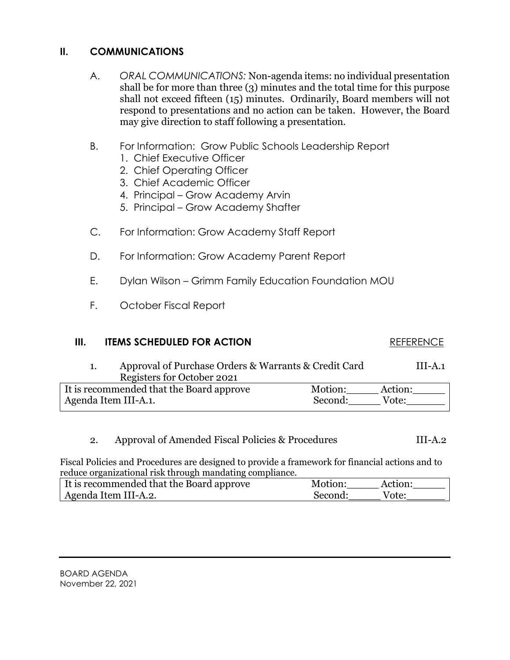# **II. COMMUNICATIONS**

- A. *ORAL COMMUNICATIONS:* Non-agenda items: no individual presentation shall be for more than three (3) minutes and the total time for this purpose shall not exceed fifteen (15) minutes. Ordinarily, Board members will not respond to presentations and no action can be taken. However, the Board may give direction to staff following a presentation.
- B. For Information: Grow Public Schools Leadership Report
	- 1. Chief Executive Officer
	- 2. Chief Operating Officer
	- 3. Chief Academic Officer
	- 4. Principal Grow Academy Arvin
	- 5. Principal Grow Academy Shafter
- C. For Information: Grow Academy Staff Report
- D. For Information: Grow Academy Parent Report
- E. Dylan Wilson Grimm Family Education Foundation MOU
- F. October Fiscal Report

# **III. ITEMS SCHEDULED FOR ACTION REFERENCE**

1. Approval of Purchase Orders & Warrants & Credit Card III-A.1 Registers for October 2021 It is recommended that the Board approve Motion: Action: Agenda Item III-A.1. Second: Vote:

2. Approval of Amended Fiscal Policies & Procedures III-A.2

Fiscal Policies and Procedures are designed to provide a framework for financial actions and to reduce organizational risk through mandating compliance.

| It is recommended that the Board approve | Motion: | Action: |
|------------------------------------------|---------|---------|
| Agenda Item III-A.2.                     | Second: | Vote:   |